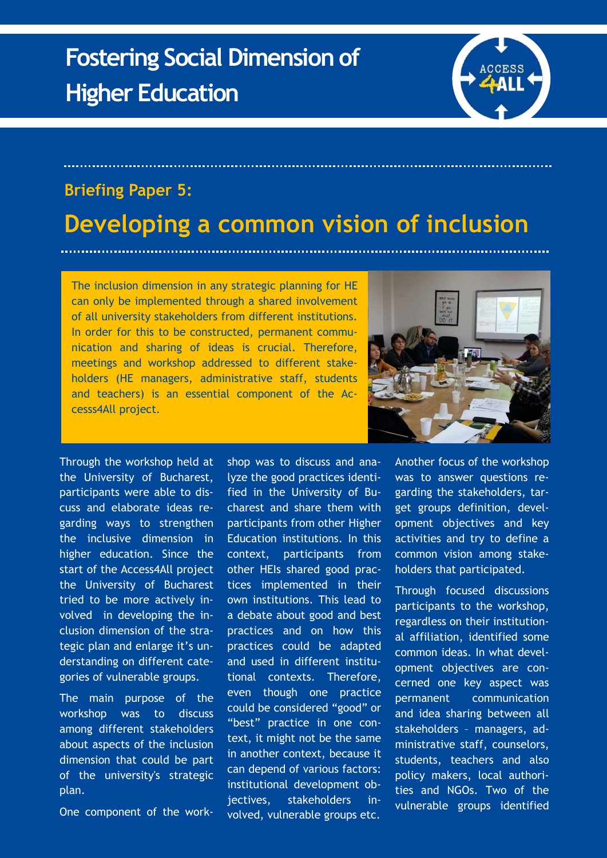## **Fostering Social Dimension of Higher Education**



## **Briefing Paper 5:**

## **Developing a common vision of inclusion**

The inclusion dimension in any strategic planning for HE can only be implemented through a shared involvement of all university stakeholders from different institutions. In order for this to be constructed, permanent communication and sharing of ideas is crucial. Therefore, meetings and workshop addressed to different stakeholders (HE managers, administrative staff, students and teachers) is an essential component of the Accesss4All project.



Through the workshop held at the University of Bucharest, participants were able to discuss and elaborate ideas regarding ways to strengthen the inclusive dimension in higher education. Since the start of the Access4All project the University of Bucharest tried to be more actively involved in developing the inclusion dimension of the strategic plan and enlarge it's understanding on different categories of vulnerable groups.

The main purpose of the workshop was to discuss among different stakeholders about aspects of the inclusion dimension that could be part of the university's strategic plan.

One component of the work-

shop was to discuss and analyze the good practices identified in the University of Bucharest and share them with participants from other Higher Education institutions. In this context, participants from other HEIs shared good practices implemented in their own institutions. This lead to a debate about good and best practices and on how this practices could be adapted and used in different institutional contexts. Therefore, even though one practice could be considered "good" or "best" practice in one context, it might not be the same in another context, because it can depend of various factors: institutional development objectives, stakeholders involved, vulnerable groups etc.

Another focus of the workshop was to answer questions regarding the stakeholders, target groups definition, development objectives and key activities and try to define a common vision among stakeholders that participated.

Through focused discussions participants to the workshop, regardless on their institutional affiliation, identified some common ideas. In what development objectives are concerned one key aspect was permanent communication and idea sharing between all stakeholders – managers, administrative staff, counselors, students, teachers and also policy makers, local authorities and NGOs. Two of the vulnerable groups identified